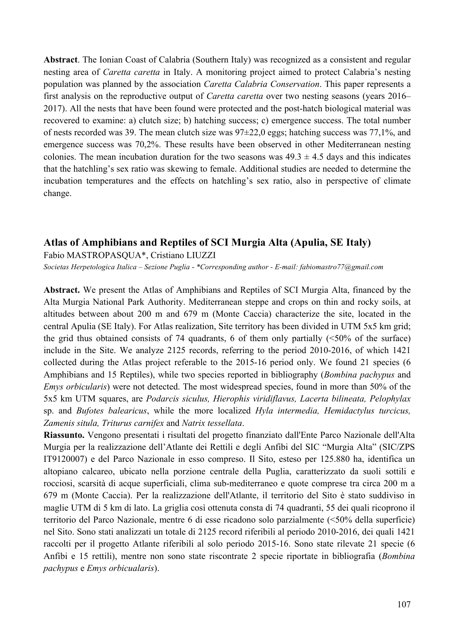**Abstract**. The Ionian Coast of Calabria (Southern Italy) was recognized as a consistent and regular nesting area of *Caretta caretta* in Italy. A monitoring project aimed to protect Calabria's nesting population was planned by the association *Caretta Calabria Conservation*. This paper represents a first analysis on the reproductive output of *Caretta caretta* over two nesting seasons (years 2016– 2017). All the nests that have been found were protected and the post-hatch biological material was recovered to examine: a) clutch size; b) hatching success; c) emergence success. The total number of nests recorded was 39. The mean clutch size was 97±22,0 eggs; hatching success was 77,1%, and emergence success was 70,2%. These results have been observed in other Mediterranean nesting colonies. The mean incubation duration for the two seasons was  $49.3 \pm 4.5$  days and this indicates that the hatchling's sex ratio was skewing to female. Additional studies are needed to determine the incubation temperatures and the effects on hatchling's sex ratio, also in perspective of climate change.

## **Atlas of Amphibians and Reptiles of SCI Murgia Alta (Apulia, SE Italy)**

Fabio MASTROPASQUA\*, Cristiano LIUZZI *Societas Herpetologica Italica – Sezione Puglia* - *\*Corresponding author - E-mail: fabiomastro77@gmail.com*

**Abstract.** We present the Atlas of Amphibians and Reptiles of SCI Murgia Alta, financed by the Alta Murgia National Park Authority. Mediterranean steppe and crops on thin and rocky soils, at altitudes between about 200 m and 679 m (Monte Caccia) characterize the site, located in the central Apulia (SE Italy). For Atlas realization, Site territory has been divided in UTM 5x5 km grid; the grid thus obtained consists of 74 quadrants, 6 of them only partially  $\leq 50\%$  of the surface) include in the Site. We analyze 2125 records, referring to the period 2010-2016, of which 1421 collected during the Atlas project referable to the 2015-16 period only. We found 21 species (6 Amphibians and 15 Reptiles), while two species reported in bibliography (*Bombina pachypus* and *Emys orbicularis*) were not detected. The most widespread species, found in more than 50% of the 5x5 km UTM squares, are *Podarcis siculus, Hierophis viridiflavus, Lacerta bilineata, Pelophylax* sp. and *Bufotes balearicus*, while the more localized *Hyla intermedia, Hemidactylus turcicus, Zamenis situla, Triturus carnifex* and *Natrix tessellata*.

**Riassunto.** Vengono presentati i risultati del progetto finanziato dall'Ente Parco Nazionale dell'Alta Murgia per la realizzazione dell'Atlante dei Rettili e degli Anfibi del SIC "Murgia Alta" (SIC/ZPS IT9120007) e del Parco Nazionale in esso compreso. Il Sito, esteso per 125.880 ha, identifica un altopiano calcareo, ubicato nella porzione centrale della Puglia, caratterizzato da suoli sottili e rocciosi, scarsità di acque superficiali, clima sub-mediterraneo e quote comprese tra circa 200 m a 679 m (Monte Caccia). Per la realizzazione dell'Atlante, il territorio del Sito è stato suddiviso in maglie UTM di 5 km di lato. La griglia così ottenuta consta di 74 quadranti, 55 dei quali ricoprono il territorio del Parco Nazionale, mentre 6 di esse ricadono solo parzialmente (<50% della superficie) nel Sito. Sono stati analizzati un totale di 2125 record riferibili al periodo 2010-2016, dei quali 1421 raccolti per il progetto Atlante riferibili al solo periodo 2015-16. Sono state rilevate 21 specie (6 Anfibi e 15 rettili), mentre non sono state riscontrate 2 specie riportate in bibliografia (*Bombina pachypus* e *Emys orbicualaris*).